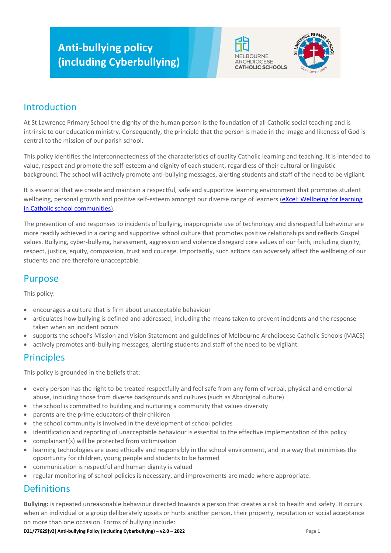# **Anti-bullying policy (including Cyberbullying)**





## Introduction

At St Lawrence Primary School the dignity of the human person is the foundation of all Catholic social teaching and is intrinsic to our education ministry. Consequently, the principle that the person is made in the image and likeness of God is central to the mission of our parish school.

This policy identifies the interconnectedness of the characteristics of quality Catholic learning and teaching. It is intended to value, respect and promote the self-esteem and dignity of each student, regardless of their cultural or linguistic background. The school will actively promote anti-bullying messages, alerting students and staff of the need to be vigilant.

It is essential that we create and maintain a respectful, safe and supportive learning environment that promotes student wellbeing, personal growth and positive self-esteem amongst our diverse range of learners (eXcel: Wellbeing for learning [in Catholic school communities\)](https://cevn.cecv.catholic.edu.au/Melb/Student-Support/Student-Wellbeing/eXcel#excel:-wellbeing-for-learning-in-catholic-school-communities).

The prevention of and responses to incidents of bullying, inappropriate use of technology and disrespectful behaviour are more readily achieved in a caring and supportive school culture that promotes positive relationships and reflects Gospel values. Bullying, cyber-bullying, harassment, aggression and violence disregard core values of our faith, including dignity, respect, justice, equity, compassion, trust and courage. Importantly, such actions can adversely affect the wellbeing of our students and are therefore unacceptable.

# Purpose

This policy:

- encourages a culture that is firm about unacceptable behaviour
- articulates how bullying is defined and addressed; including the means taken to prevent incidents and the response taken when an incident occurs
- supports the school's Mission and Vision Statement and guidelines of Melbourne Archdiocese Catholic Schools (MACS)
- actively promotes anti-bullying messages, alerting students and staff of the need to be vigilant.

### **Principles**

This policy is grounded in the beliefs that:

- every person has the right to be treated respectfully and feel safe from any form of verbal, physical and emotional abuse, including those from diverse backgrounds and cultures (such as Aboriginal culture)
- the school is committed to building and nurturing a community that values diversity
- parents are the prime educators of their children
- the school community is involved in the development of school policies
- identification and reporting of unacceptable behaviour is essential to the effective implementation of this policy
- complainant(s) will be protected from victimisation
- learning technologies are used ethically and responsibly in the school environment, and in a way that minimises the opportunity for children, young people and students to be harmed
- communication is respectful and human dignity is valued
- regular monitoring of school policies is necessary, and improvements are made where appropriate.

# **Definitions**

**Bullying:** is repeated unreasonable behaviour directed towards a person that creates a risk to health and safety. It occurs when an individual or a group deliberately upsets or hurts another person, their property, reputation or social acceptance

**D21/77629[v2] Anti-bullying Policy (including Cyberbullying) – v2.0 – 2022<br>
Page 1** on more than one occasion. Forms of bullying include: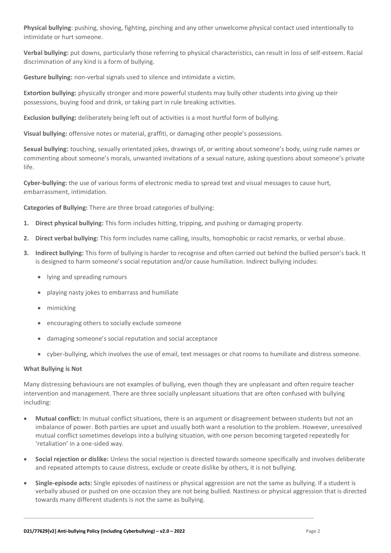**Physical bullying**: pushing, shoving, fighting, pinching and any other unwelcome physical contact used intentionally to intimidate or hurt someone.

**Verbal bullying:** put downs, particularly those referring to physical characteristics, can result in loss of self-esteem. Racial discrimination of any kind is a form of bullying.

**Gesture bullying:** non-verbal signals used to silence and intimidate a victim.

**Extortion bullying:** physically stronger and more powerful students may bully other students into giving up their possessions, buying food and drink, or taking part in rule breaking activities.

**Exclusion bullying:** deliberately being left out of activities is a most hurtful form of bullying.

**Visual bullying:** offensive notes or material, graffiti, or damaging other people's possessions.

**Sexual bullying:** touching, sexually orientated jokes, drawings of, or writing about someone's body, using rude names or commenting about someone's morals, unwanted invitations of a sexual nature, asking questions about someone's private life.

**Cyber-bullying:** the use of various forms of electronic media to spread text and visual messages to cause hurt, embarrassment, intimidation.

**Categories of Bullying:** There are three broad categories of bullying:

- **1. Direct physical bullying:** This form includes hitting, tripping, and pushing or damaging property.
- **2. Direct verbal bullying:** This form includes name calling, insults, homophobic or racist remarks, or verbal abuse.
- **3. Indirect bullying:** This form of bullying is harder to recognise and often carried out behind the bullied person's back. It is designed to harm someone's social reputation and/or cause humiliation. Indirect bullying includes:
	- lying and spreading rumours
	- playing nasty jokes to embarrass and humiliate
	- mimicking
	- encouraging others to socially exclude someone
	- damaging someone's social reputation and social acceptance
	- cyber-bullying, which involves the use of email, text messages or chat rooms to humiliate and distress someone.

#### **What Bullying is Not**

Many distressing behaviours are not examples of bullying, even though they are unpleasant and often require teacher intervention and management. There are three socially unpleasant situations that are often confused with bullying including:

- **Mutual conflict:** In mutual conflict situations, there is an argument or disagreement between students but not an imbalance of power. Both parties are upset and usually both want a resolution to the problem. However, unresolved mutual conflict sometimes develops into a bullying situation, with one person becoming targeted repeatedly for 'retaliation' in a one-sided way.
- **Social rejection or dislike:** Unless the social rejection is directed towards someone specifically and involves deliberate and repeated attempts to cause distress, exclude or create dislike by others, it is not bullying.
- **Single-episode acts:** Single episodes of nastiness or physical aggression are not the same as bullying. If a student is verbally abused or pushed on one occasion they are not being bullied. Nastiness or physical aggression that is directed towards many different students is not the same as bullying.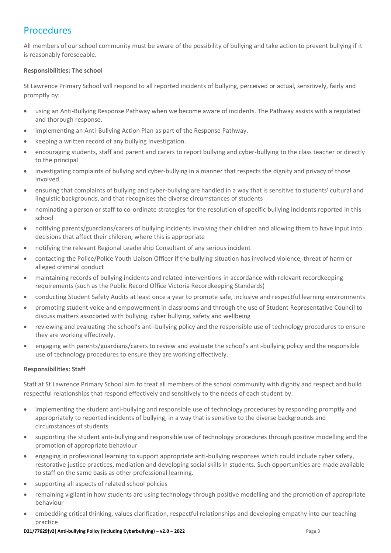# **Procedures**

All members of our school community must be aware of the possibility of bullying and take action to prevent bullying if it is reasonably foreseeable.

#### **Responsibilities: The school**

St Lawrence Primary School will respond to all reported incidents of bullying, perceived or actual, sensitively, fairly and promptly by:

- using an Anti-Bullying Response Pathway when we become aware of incidents. The Pathway assists with a regulated and thorough response.
- implementing an Anti-Bullying Action Plan as part of the Response Pathway.
- keeping a written record of any bullying investigation.
- encouraging students, staff and parent and carers to report bullying and cyber-bullying to the class teacher or directly to the principal
- investigating complaints of bullying and cyber-bullying in a manner that respects the dignity and privacy of those involved.
- ensuring that complaints of bullying and cyber-bullying are handled in a way that is sensitive to students' cultural and linguistic backgrounds, and that recognises the diverse circumstances of students
- nominating a person or staff to co-ordinate strategies for the resolution of specific bullying incidents reported in this school
- notifying parents/guardians/carers of bullying incidents involving their children and allowing them to have input into decisions that affect their children, where this is appropriate
- notifying the relevant Regional Leadership Consultant of any serious incident
- contacting the Police/Police Youth Liaison Officer if the bullying situation has involved violence, threat of harm or alleged criminal conduct
- maintaining records of bullying incidents and related interventions in accordance with relevant recordkeeping requirements (such as the Public Record Office Victoria Recordkeeping Standards)
- conducting Student Safety Audits at least once a year to promote safe, inclusive and respectful learning environments
- promoting student voice and empowerment in classrooms and through the use of Student Representative Council to discuss matters associated with bullying, cyber bullying, safety and wellbeing
- reviewing and evaluating the school's anti-bullying policy and the responsible use of technology procedures to ensure they are working effectively.
- engaging with parents/guardians/carers to review and evaluate the school's anti-bullying policy and the responsible use of technology procedures to ensure they are working effectively.

#### **Responsibilities: Staff**

Staff at St Lawrence Primary School aim to treat all members of the school community with dignity and respect and build respectful relationships that respond effectively and sensitively to the needs of each student by:

- implementing the student anti-bullying and responsible use of technology procedures by responding promptly and appropriately to reported incidents of bullying, in a way that is sensitive to the diverse backgrounds and circumstances of students
- supporting the student anti-bullying and responsible use of technology procedures through positive modelling and the promotion of appropriate behaviour
- engaging in professional learning to support appropriate anti-bullying responses which could include cyber safety, restorative justice practices, mediation and developing social skills in students. Such opportunities are made available to staff on the same basis as other professional learning.
- supporting all aspects of related school policies
- remaining vigilant in how students are using technology through positive modelling and the promotion of appropriate behaviour
- embedding critical thinking, values clarification, respectful relationships and developing empathy into our teaching practice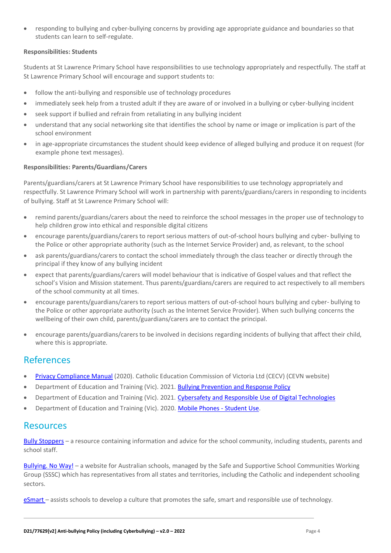• responding to bullying and cyber-bullying concerns by providing age appropriate guidance and boundaries so that students can learn to self-regulate.

#### **Responsibilities: Students**

Students at St Lawrence Primary School have responsibilities to use technology appropriately and respectfully. The staff at St Lawrence Primary School will encourage and support students to:

- follow the anti-bullying and responsible use of technology procedures
- immediately seek help from a trusted adult if they are aware of or involved in a bullying or cyber-bullying incident
- seek support if bullied and refrain from retaliating in any bullying incident
- understand that any social networking site that identifies the school by name or image or implication is part of the school environment
- in age-appropriate circumstances the student should keep evidence of alleged bullying and produce it on request (for example phone text messages).

#### **Responsibilities: Parents/Guardians/Carers**

Parents/guardians/carers at St Lawrence Primary School have responsibilities to use technology appropriately and respectfully. St Lawrence Primary School will work in partnership with parents/guardians/carers in responding to incidents of bullying. Staff at St Lawrence Primary School will:

- remind parents/guardians/carers about the need to reinforce the school messages in the proper use of technology to help children grow into ethical and responsible digital citizens
- encourage parents/guardians/carers to report serious matters of out-of-school hours bullying and cyber- bullying to the Police or other appropriate authority (such as the Internet Service Provider) and, as relevant, to the school
- ask parents/guardians/carers to contact the school immediately through the class teacher or directly through the principal if they know of any bullying incident
- expect that parents/guardians/carers will model behaviour that is indicative of Gospel values and that reflect the school's Vision and Mission statement. Thus parents/guardians/carers are required to act respectively to all members of the school community at all times.
- encourage parents/guardians/carers to report serious matters of out-of-school hours bullying and cyber- bullying to the Police or other appropriate authority (such as the Internet Service Provider). When such bullying concerns the wellbeing of their own child, parents/guardians/carers are to contact the principal.
- encourage parents/guardians/carers to be involved in decisions regarding incidents of bullying that affect their child, where this is appropriate.

### References

- [Privacy Compliance Manual](https://cevn.cecv.catholic.edu.au/Melb/Document-File/Polices-Compliance-and-Legal/Privacy/Privacy-Compliance-Manual.aspx) (2020). Catholic Education Commission of Victoria Ltd (CECV) (CEVN website)
- Department of Education and Training (Vic). 2021. [Bullying Prevention and Response Policy](https://www2.education.vic.gov.au/pal/bullying-prevention-response/policy)
- Department of Education and Training (Vic). 2021. [Cybersafety and Responsible Use of Digital Technologies](https://www2.education.vic.gov.au/pal/cybersafety/policy)
- Department of Education and Training (Vic). 2020. [Mobile Phones -](https://www2.education.vic.gov.au/pal/students-using-mobile-phones/policy) Student Use.

### **Resources**

Bully [Stoppers](https://www.education.vic.gov.au/about/programs/bullystoppers/Pages/default.aspx) – a resource containing information and advice for the school community, including students, parents and school staff.

[Bullying. No](https://bullyingnoway.gov.au/) Way! – a website for Australian schools, managed by the Safe and Supportive School Communities Working Group (SSSC) which has representatives from all states and territories, including the Catholic and independent schooling sectors.

[eSmart](https://www.education.vic.gov.au/about/programs/bullystoppers/Pages/esmart.aspx) – assists schools to develop a culture that promotes the safe, smart and responsible use of technology.